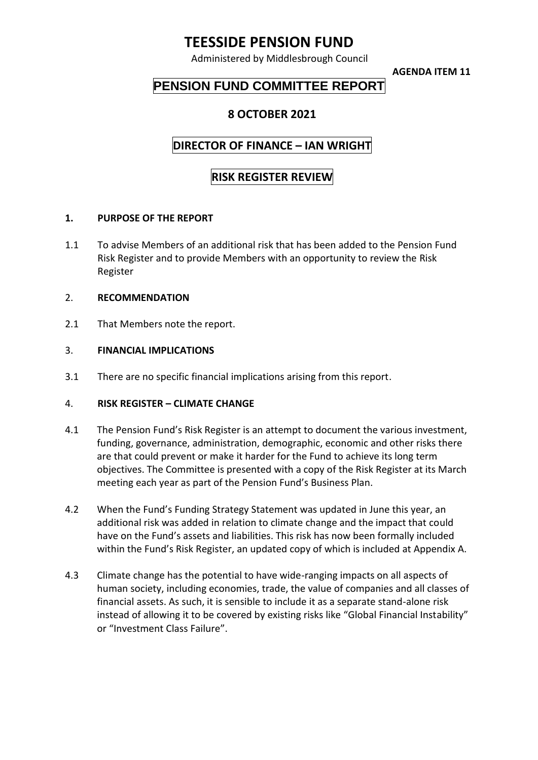## **TEESSIDE PENSION FUND**

Administered by Middlesbrough Council

**AGENDA ITEM 11**

## **PENSION FUND COMMITTEE REPORT**

### **8 OCTOBER 2021**

### **DIRECTOR OF FINANCE – IAN WRIGHT**

# **RISK REGISTER REVIEW**

#### **1. PURPOSE OF THE REPORT**

1.1 To advise Members of an additional risk that has been added to the Pension Fund Risk Register and to provide Members with an opportunity to review the Risk Register

#### 2. **RECOMMENDATION**

2.1 That Members note the report.

#### 3. **FINANCIAL IMPLICATIONS**

3.1 There are no specific financial implications arising from this report.

#### 4. **RISK REGISTER – CLIMATE CHANGE**

- 4.1 The Pension Fund's Risk Register is an attempt to document the various investment, funding, governance, administration, demographic, economic and other risks there are that could prevent or make it harder for the Fund to achieve its long term objectives. The Committee is presented with a copy of the Risk Register at its March meeting each year as part of the Pension Fund's Business Plan.
- 4.2 When the Fund's Funding Strategy Statement was updated in June this year, an additional risk was added in relation to climate change and the impact that could have on the Fund's assets and liabilities. This risk has now been formally included within the Fund's Risk Register, an updated copy of which is included at Appendix A.
- 4.3 Climate change has the potential to have wide-ranging impacts on all aspects of human society, including economies, trade, the value of companies and all classes of financial assets. As such, it is sensible to include it as a separate stand-alone risk instead of allowing it to be covered by existing risks like "Global Financial Instability" or "Investment Class Failure".